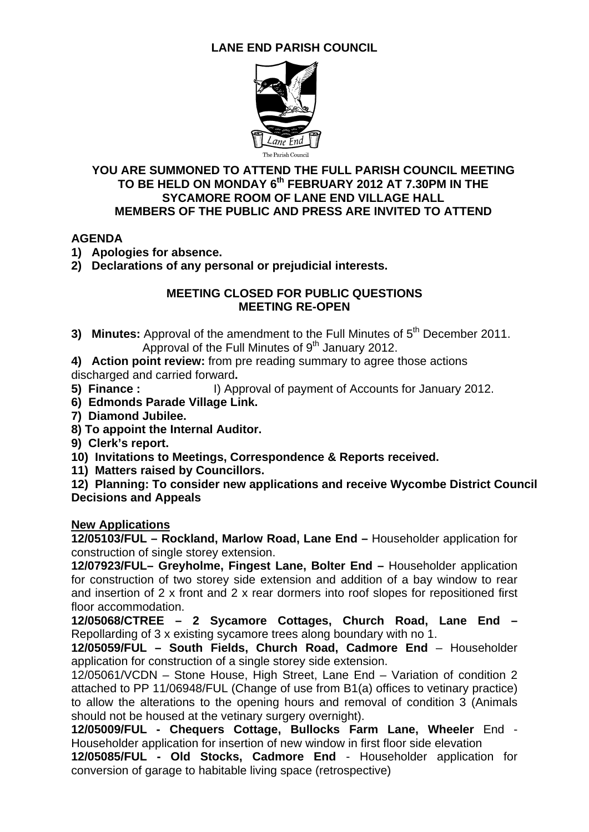# **LANE END PARISH COUNCIL**



### **YOU ARE SUMMONED TO ATTEND THE FULL PARISH COUNCIL MEETING TO BE HELD ON MONDAY 6th FEBRUARY 2012 AT 7.30PM IN THE SYCAMORE ROOM OF LANE END VILLAGE HALL MEMBERS OF THE PUBLIC AND PRESS ARE INVITED TO ATTEND**

# **AGENDA**

**1) Apologies for absence.** 

**2) Declarations of any personal or prejudicial interests.** 

### **MEETING CLOSED FOR PUBLIC QUESTIONS MEETING RE-OPEN**

**3) Minutes:** Approval of the amendment to the Full Minutes of 5<sup>th</sup> December 2011. Approval of the Full Minutes of  $9<sup>th</sup>$  January 2012.

**4) Action point review:** from pre reading summary to agree those actions discharged and carried forward**.** 

- **5) Finance :** I) Approval of payment of Accounts for January 2012.
- **6) Edmonds Parade Village Link.**
- **7) Diamond Jubilee.**
- **8) To appoint the Internal Auditor.**
- **9) Clerk's report.**
- **10) Invitations to Meetings, Correspondence & Reports received.**
- **11) Matters raised by Councillors.**

**12) Planning: To consider new applications and receive Wycombe District Council Decisions and Appeals** 

### **New Applications**

**12/05103/FUL – Rockland, Marlow Road, Lane End –** Householder application for construction of single storey extension.

**12/07923/FUL– Greyholme, Fingest Lane, Bolter End –** Householder application for construction of two storey side extension and addition of a bay window to rear and insertion of 2 x front and 2 x rear dormers into roof slopes for repositioned first floor accommodation.

**12/05068/CTREE – 2 Sycamore Cottages, Church Road, Lane End –**  Repollarding of 3 x existing sycamore trees along boundary with no 1.

**12/05059/FUL – South Fields, Church Road, Cadmore End** – Householder application for construction of a single storey side extension.

12/05061/VCDN – Stone House, High Street, Lane End – Variation of condition 2 attached to PP 11/06948/FUL (Change of use from B1(a) offices to vetinary practice) to allow the alterations to the opening hours and removal of condition 3 (Animals should not be housed at the vetinary surgery overnight).

**12/05009/FUL - Chequers Cottage, Bullocks Farm Lane, Wheeler** End - Householder application for insertion of new window in first floor side elevation

**12/05085/FUL - Old Stocks, Cadmore End** - Householder application for conversion of garage to habitable living space (retrospective)